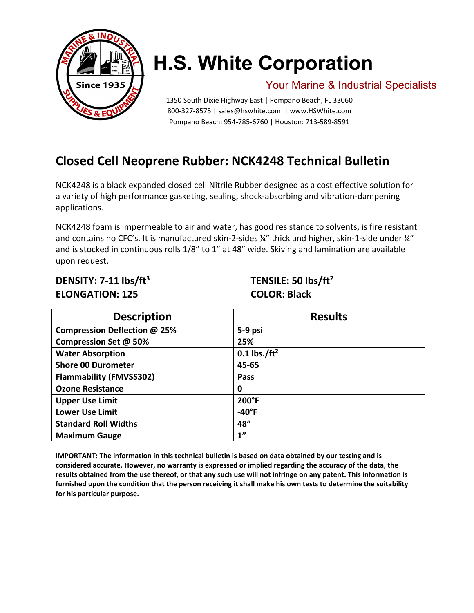

# **H.S. White Corporation**

### Your Marine & Industrial Specialists

1350 South Dixie Highway East | Pompano Beach, FL 33060 800-327-8575 | [sales@hswhite.com](mailto:sales@hswhite.com) | [www.HSWhite.com](http://www.hswhite.com/) Pompano Beach: 954-785-6760 | Houston: 713-589-8591

## **Closed Cell Neoprene Rubber: NCK4248 Technical Bulletin**

NCK4248 is a black expanded closed cell Nitrile Rubber designed as a cost effective solution for a variety of high performance gasketing, sealing, shock-absorbing and vibration-dampening applications.

NCK4248 foam is impermeable to air and water, has good resistance to solvents, is fire resistant and contains no CFC's. It is manufactured skin-2-sides ¼" thick and higher, skin-1-side under ¼" and is stocked in continuous rolls 1/8" to 1" at 48" wide. Skiving and lamination are available upon request.

### **DENSITY: 7-11 lbs/ft3 TENSILE: 50 lbs/ft2 ELONGATION: 125 COLOR: Black**

| <b>Description</b>             | <b>Results</b>  |
|--------------------------------|-----------------|
| Compression Deflection @ 25%   | 5-9 psi         |
| Compression Set @ 50%          | 25%             |
| <b>Water Absorption</b>        | 0.1 lbs./ $ft2$ |
| <b>Shore 00 Durometer</b>      | 45-65           |
| <b>Flammability (FMVSS302)</b> | Pass            |
| <b>Ozone Resistance</b>        | 0               |
| <b>Upper Use Limit</b>         | 200°F           |
| <b>Lower Use Limit</b>         | $-40^{\circ}$ F |
| <b>Standard Roll Widths</b>    | 48"             |
| <b>Maximum Gauge</b>           | 1"              |

**IMPORTANT: The information in this technical bulletin is based on data obtained by our testing and is considered accurate. However, no warranty is expressed or implied regarding the accuracy of the data, the results obtained from the use thereof, or that any such use will not infringe on any patent. This information is furnished upon the condition that the person receiving it shall make his own tests to determine the suitability for his particular purpose.**